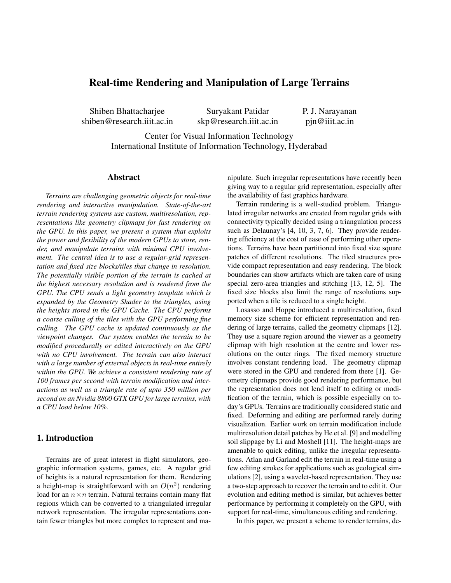# **Real-time Rendering and Manipulation of Large Terrains**

Shiben Bhattacharjee shiben@research.iiit.ac.in

Suryakant Patidar skp@research.iiit.ac.in P. J. Narayanan pjn@iiit.ac.in

Center for Visual Information Technology International Institute of Information Technology, Hyderabad

#### **Abstract**

*Terrains are challenging geometric objects for real-time rendering and interactive manipulation. State-of-the-art terrain rendering systems use custom, multiresolution, representations like geometry clipmaps for fast rendering on the GPU. In this paper, we present a system that exploits the power and flexibility of the modern GPUs to store, render, and manipulate terrains with minimal CPU involvement. The central idea is to use a regular-grid representation and fixed size blocks/tiles that change in resolution. The potentially visible portion of the terrain is cached at the highest necessary resolution and is rendered from the GPU. The CPU sends a light geometry template which is expanded by the Geometry Shader to the triangles, using the heights stored in the GPU Cache. The CPU performs a coarse culling of the tiles with the GPU performing fine culling. The GPU cache is updated continuously as the viewpoint changes. Our system enables the terrain to be modified procedurally or edited interactively on the GPU with no CPU involvement. The terrain can also interact with a large number of external objects in real-time entirely within the GPU. We achieve a consistent rendering rate of 100 frames per second with terrain modification and interactions as well as a triangle rate of upto 350 million per second on an Nvidia 8800 GTX GPU for large terrains, with a CPU load below 10%.*

# **1. Introduction**

Terrains are of great interest in flight simulators, geographic information systems, games, etc. A regular grid of heights is a natural representation for them. Rendering a height-map is straightforward with an  $O(n^2)$  rendering load for an  $n \times n$  terrain. Natural terrains contain many flat regions which can be converted to a triangulated irregular network representation. The irregular representations contain fewer triangles but more complex to represent and manipulate. Such irregular representations have recently been giving way to a regular grid representation, especially after the availability of fast graphics hardware.

Terrain rendering is a well-studied problem. Triangulated irregular networks are created from regular grids with connectivity typically decided using a triangulation process such as Delaunay's [4, 10, 3, 7, 6]. They provide rendering efficiency at the cost of ease of performing other operations. Terrains have been partitioned into fixed size square patches of different resolutions. The tiled structures provide compact representation and easy rendering. The block boundaries can show artifacts which are taken care of using special zero-area triangles and stitching [13, 12, 5]. The fixed size blocks also limit the range of resolutions supported when a tile is reduced to a single height.

Losasso and Hoppe introduced a multiresolution, fixed memory size scheme for efficient representation and rendering of large terrains, called the geometry clipmaps [12]. They use a square region around the viewer as a geometry clipmap with high resolution at the centre and lower resolutions on the outer rings. The fixed memory structure involves constant rendering load. The geometry clipmap were stored in the GPU and rendered from there [1]. Geometry clipmaps provide good rendering performance, but the representation does not lend itself to editing or modification of the terrain, which is possible especially on today's GPUs. Terrains are traditionally considered static and fixed. Deforming and editing are performed rarely during visualization. Earlier work on terrain modification include multiresolution detail patches by He et al. [9] and modelling soil slippage by Li and Moshell [11]. The height-maps are amenable to quick editing, unlike the irregular representations. Atlan and Garland edit the terrain in real-time using a few editing strokes for applications such as geological simulations [2], using a wavelet-based representation. They use a two-step approach to recover the terrain and to edit it. Our evolution and editing method is similar, but achieves better performance by performing it completely on the GPU, with support for real-time, simultaneous editing and rendering.

In this paper, we present a scheme to render terrains, de-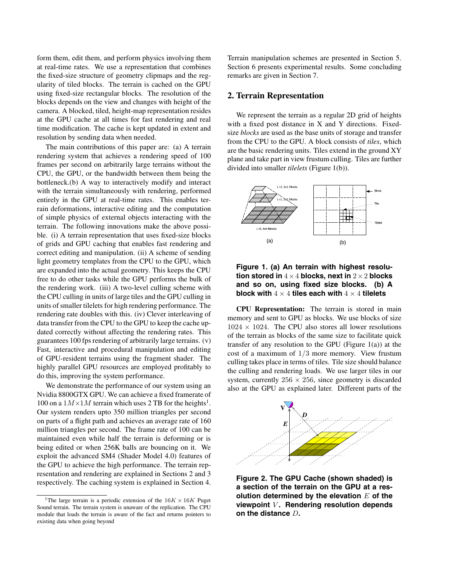form them, edit them, and perform physics involving them at real-time rates. We use a representation that combines the fixed-size structure of geometry clipmaps and the regularity of tiled blocks. The terrain is cached on the GPU using fixed-size rectangular blocks. The resolution of the blocks depends on the view and changes with height of the camera. A blocked, tiled, height-map representation resides at the GPU cache at all times for fast rendering and real time modification. The cache is kept updated in extent and resolution by sending data when needed.

The main contributions of this paper are: (a) A terrain rendering system that achieves a rendering speed of 100 frames per second on arbitrarily large terrains without the CPU, the GPU, or the bandwidth between them being the bottleneck.(b) A way to interactively modify and interact with the terrain simultaneously with rendering, performed entirely in the GPU at real-time rates. This enables terrain deformations, interactive editing and the computation of simple physics of external objects interacting with the terrain. The following innovations make the above possible. (i) A terrain representation that uses fixed-size blocks of grids and GPU caching that enables fast rendering and correct editing and manipulation. (ii) A scheme of sending light geometry templates from the CPU to the GPU, which are expanded into the actual geometry. This keeps the CPU free to do other tasks while the GPU performs the bulk of the rendering work. (iii) A two-level culling scheme with the CPU culling in units of large tiles and the GPU culling in units of smaller tilelets for high rendering performance. The rendering rate doubles with this. (iv) Clever interleaving of data transfer from the CPU to the GPU to keep the cache updated correctly without affecting the rendering rates. This guarantees 100 fps rendering of arbitrarily large terrains. (v) Fast, interactive and procedural manipulation and editing of GPU-resident terrains using the fragment shader. The highly parallel GPU resources are employed profitably to do this, improving the system performance.

We demonstrate the performance of our system using an Nvidia 8800GTX GPU. We can achieve a fixed framerate of 100 on a  $1M\times1M$  terrain which uses 2 TB for the heights<sup>1</sup>. Our system renders upto 350 million triangles per second on parts of a flight path and achieves an average rate of 160 million triangles per second. The frame rate of 100 can be maintained even while half the terrain is deforming or is being edited or when 256K balls are bouncing on it. We exploit the advanced SM4 (Shader Model 4.0) features of the GPU to achieve the high performance. The terrain representation and rendering are explained in Sections 2 and 3 respectively. The caching system is explained in Section 4.

Terrain manipulation schemes are presented in Section 5. Section 6 presents experimental results. Some concluding remarks are given in Section 7.

#### **2. Terrain Representation**

We represent the terrain as a regular 2D grid of heights with a fixed post distance in X and Y directions. Fixedsize *blocks* are used as the base units of storage and transfer from the CPU to the GPU. A block consists of *tiles*, which are the basic rendering units. Tiles extend in the ground XY plane and take part in view frustum culling. Tiles are further divided into smaller *tilelets* (Figure 1(b)).





**CPU Representation:** The terrain is stored in main memory and sent to GPU as blocks. We use blocks of size  $1024 \times 1024$ . The CPU also stores all lower resolutions of the terrain as blocks of the same size to facilitate quick transfer of any resolution to the GPU (Figure  $1(a)$ ) at the cost of a maximum of  $1/3$  more memory. View frustum culling takes place in terms of tiles. Tile size should balance the culling and rendering loads. We use larger tiles in our system, currently  $256 \times 256$ , since geometry is discarded also at the GPU as explained later. Different parts of the



**Figure 2. The GPU Cache (shown shaded) is a section of the terrain on the GPU at a resolution determined by the elevation** E **of the viewpoint** V **. Rendering resolution depends on the distance** D**.**

<sup>&</sup>lt;sup>1</sup>The large terrain is a periodic extension of the  $16K \times 16K$  Puget Sound terrain. The terrain system is unaware of the replication. The CPU module that loads the terrain is aware of the fact and returns pointers to existing data when going beyond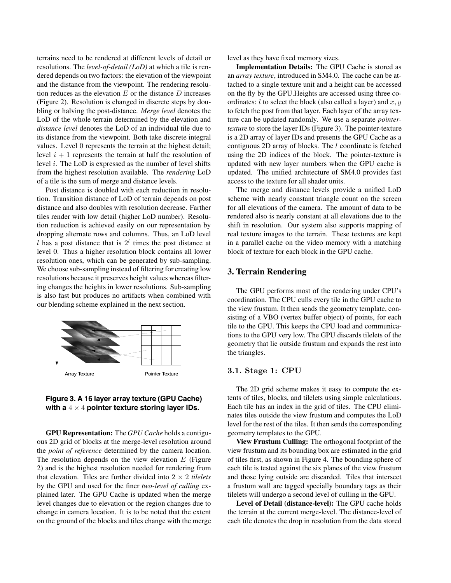terrains need to be rendered at different levels of detail or resolutions. The *level-of-detail (LoD)* at which a tile is rendered depends on two factors: the elevation of the viewpoint and the distance from the viewpoint. The rendering resolution reduces as the elevation  $E$  or the distance  $D$  increases (Figure 2). Resolution is changed in discrete steps by doubling or halving the post-distance. *Merge level* denotes the LoD of the whole terrain determined by the elevation and *distance level* denotes the LoD of an individual tile due to its distance from the viewpoint. Both take discrete integral values. Level 0 represents the terrain at the highest detail; level  $i + 1$  represents the terrain at half the resolution of level i. The LoD is expressed as the number of level shifts from the highest resolution available. The *rendering* LoD of a tile is the sum of merge and distance levels.

Post distance is doubled with each reduction in resolution. Transition distance of LoD of terrain depends on post distance and also doubles with resolution decrease. Farther tiles render with low detail (higher LoD number). Resolution reduction is achieved easily on our representation by dropping alternate rows and columns. Thus, an LoD level l has a post distance that is  $2^l$  times the post distance at level 0. Thus a higher resolution block contains all lower resolution ones, which can be generated by sub-sampling. We choose sub-sampling instead of filtering for creating low resolutions because it preserves height values whereas filtering changes the heights in lower resolutions. Sub-sampling is also fast but produces no artifacts when combined with our blending scheme explained in the next section.



**Figure 3. A 16 layer array texture (GPU Cache) with a** 4 <sup>×</sup> 4 **pointer texture storing layer IDs.**

**GPU Representation:** The *GPU Cache* holds a contiguous 2D grid of blocks at the merge-level resolution around the *point of reference* determined by the camera location. The resolution depends on the view elevation  $E$  (Figure 2) and is the highest resolution needed for rendering from that elevation. Tiles are further divided into 2 <sup>×</sup> 2 *tilelets* by the GPU and used for the finer *two-level of culling* explained later. The GPU Cache is updated when the merge level changes due to elevation or the region changes due to change in camera location. It is to be noted that the extent on the ground of the blocks and tiles change with the merge

level as they have fixed memory sizes.

**Implementation Details:** The GPU Cache is stored as an *array texture*, introduced in SM4.0. The cache can be attached to a single texture unit and a height can be accessed on the fly by the GPU.Heights are accessed using three coordinates:  $l$  to select the block (also called a layer) and  $x, y$ to fetch the post from that layer. Each layer of the array texture can be updated randomly. We use a separate *pointertexture* to store the layer IDs (Figure 3). The pointer-texture is a 2D array of layer IDs and presents the GPU Cache as a contiguous 2D array of blocks. The  $l$  coordinate is fetched using the 2D indices of the block. The pointer-texture is updated with new layer numbers when the GPU cache is updated. The unified architecture of SM4.0 provides fast access to the texture for all shader units.

The merge and distance levels provide a unified LoD scheme with nearly constant triangle count on the screen for all elevations of the camera. The amount of data to be rendered also is nearly constant at all elevations due to the shift in resolution. Our system also supports mapping of real texture images to the terrain. These textures are kept in a parallel cache on the video memory with a matching block of texture for each block in the GPU cache.

# **3. Terrain Rendering**

The GPU performs most of the rendering under CPU's coordination. The CPU culls every tile in the GPU cache to the view frustum. It then sends the geometry template, consisting of a VBO (vertex buffer object) of points, for each tile to the GPU. This keeps the CPU load and communications to the GPU very low. The GPU discards tilelets of the geometry that lie outside frustum and expands the rest into the triangles.

#### **3.1. Stage 1: CPU**

The 2D grid scheme makes it easy to compute the extents of tiles, blocks, and tilelets using simple calculations. Each tile has an index in the grid of tiles. The CPU eliminates tiles outside the view frustum and computes the LoD level for the rest of the tiles. It then sends the corresponding geometry templates to the GPU.

**View Frustum Culling:** The orthogonal footprint of the view frustum and its bounding box are estimated in the grid of tiles first, as shown in Figure 4. The bounding sphere of each tile is tested against the six planes of the view frustum and those lying outside are discarded. Tiles that intersect a frustum wall are tagged specially boundary tags as their tilelets will undergo a second level of culling in the GPU.

**Level of Detail (distance-level):** The GPU cache holds the terrain at the current merge-level. The distance-level of each tile denotes the drop in resolution from the data stored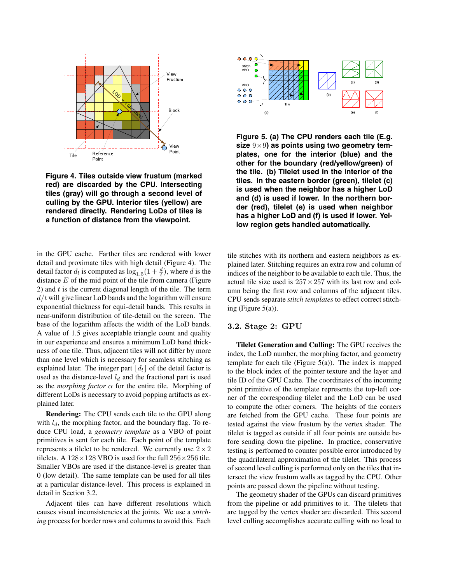

**Figure 4. Tiles outside view frustum (marked red) are discarded by the CPU. Intersecting tiles (gray) will go through a second level of culling by the GPU. Interior tiles (yellow) are rendered directly. Rendering LoDs of tiles is a function of distance from the viewpoint.**

in the GPU cache. Farther tiles are rendered with lower detail and proximate tiles with high detail (Figure 4). The detail factor  $d_l$  is computed as  $\log_{1.5}(1 + \frac{d}{t})$ , where  $d$  is the distance E of the mid point of the tile from camera (Figure distance  $E$  of the mid point of the tile from camera (Figure 2) and  $t$  is the current diagonal length of the tile. The term  $d/t$  will give linear LoD bands and the logarithm will ensure exponential thickness for equi-detail bands. This results in near-uniform distribution of tile-detail on the screen. The base of the logarithm affects the width of the LoD bands. A value of 1.5 gives acceptable triangle count and quality in our experience and ensures a minimum LoD band thickness of one tile. Thus, adjacent tiles will not differ by more than one level which is necessary for seamless stitching as explained later. The integer part  $\lfloor d_l \rfloor$  of the detail factor is used as the distance-level  $l_d$  and the fractional part is used as the *morphing factor*  $\alpha$  for the entire tile. Morphing of different LoDs is necessary to avoid popping artifacts as explained later.

**Rendering:** The CPU sends each tile to the GPU along with  $l_d$ , the morphing factor, and the boundary flag. To reduce CPU load, a *geometry template* as a VBO of point primitives is sent for each tile. Each point of the template represents a tilelet to be rendered. We currently use  $2 \times 2$ tilelets. A  $128 \times 128$  VBO is used for the full  $256 \times 256$  tile. Smaller VBOs are used if the distance-level is greater than 0 (low detail). The same template can be used for all tiles at a particular distance-level. This process is explained in detail in Section 3.2.

Adjacent tiles can have different resolutions which causes visual inconsistencies at the joints. We use a *stitching* process for border rows and columns to avoid this. Each



**Figure 5. (a) The CPU renders each tile (E.g. size** 9×9**) as points using two geometry templates, one for the interior (blue) and the other for the boundary (red/yellow/green) of the tile. (b) Tilelet used in the interior of the tiles. In the eastern border (green), tilelet (c) is used when the neighbor has a higher LoD and (d) is used if lower. In the northern border (red), tilelet (e) is used when neighbor has a higher LoD and (f) is used if lower. Yellow region gets handled automatically.**

tile stitches with its northern and eastern neighbors as explained later. Stitching requires an extra row and column of indices of the neighbor to be available to each tile. Thus, the actual tile size used is  $257 \times 257$  with its last row and column being the first row and columns of the adjacent tiles. CPU sends separate *stitch templates* to effect correct stitching (Figure  $5(a)$ ).

#### **3.2. Stage 2: GPU**

**Tilelet Generation and Culling:** The GPU receives the index, the LoD number, the morphing factor, and geometry template for each tile (Figure  $5(a)$ ). The index is mapped to the block index of the pointer texture and the layer and tile ID of the GPU Cache. The coordinates of the incoming point primitive of the template represents the top-left corner of the corresponding tilelet and the LoD can be used to compute the other corners. The heights of the corners are fetched from the GPU cache. These four points are tested against the view frustum by the vertex shader. The tilelet is tagged as outside if all four points are outside before sending down the pipeline. In practice, conservative testing is performed to counter possible error introduced by the quadrilateral approximation of the tilelet. This process of second level culling is performed only on the tiles that intersect the view frustum walls as tagged by the CPU. Other points are passed down the pipeline without testing.

The geometry shader of the GPUs can discard primitives from the pipeline or add primitives to it. The tilelets that are tagged by the vertex shader are discarded. This second level culling accomplishes accurate culling with no load to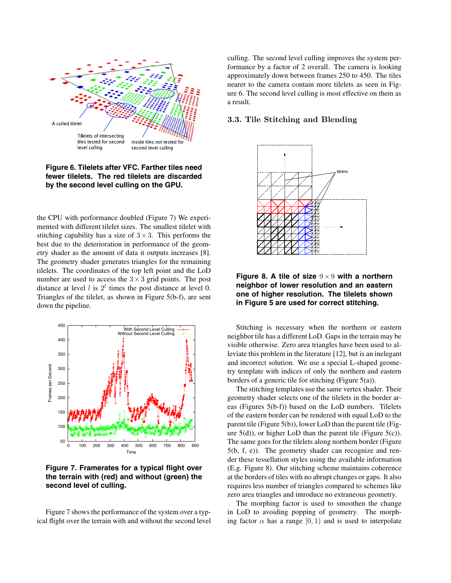

**Figure 6. Tilelets after VFC. Farther tiles need fewer tilelets. The red tilelets are discarded by the second level culling on the GPU.**

the CPU with performance doubled (Figure 7) We experimented with different tilelet sizes. The smallest tilelet with stitching capability has a size of  $3 \times 3$ . This performs the best due to the deterioration in performance of the geometry shader as the amount of data it outputs increases [8]. The geometry shader generates triangles for the remaining tilelets. The coordinates of the top left point and the LoD number are used to access the  $3 \times 3$  grid points. The post distance at level  $l$  is  $2^l$  times the post distance at level 0. Triangles of the tilelet, as shown in Figure 5(b-f), are sent down the pipeline.



**Figure 7. Framerates for a typical flight over the terrain with (red) and without (green) the second level of culling.**

Figure 7 shows the performance of the system over a typical flight over the terrain with and without the second level culling. The second level culling improves the system performance by a factor of 2 overall. The camera is looking approximately down between frames 250 to 450. The tiles nearer to the camera contain more tilelets as seen in Figure 6. The second level culling is most effective on them as a result.

#### **3.3. Tile Stitching and Blending**



**Figure 8. A tile of size** 9×9 **with a northern neighbor of lower resolution and an eastern one of higher resolution. The tilelets shown in Figure 5 are used for correct stitching.**

Stitching is necessary when the northern or eastern neighbor tile has a different LoD. Gaps in the terrain may be visible otherwise. Zero area triangles have been used to alleviate this problem in the literature [12], but is an inelegant and incorrect solution. We use a special L-shaped geometry template with indices of only the northern and eastern borders of a generic tile for stitching (Figure 5(a)).

The stitching templates use the same vertex shader. Their geometry shader selects one of the tilelets in the border areas (Figures 5(b-f)) based on the LoD numbers. Tilelets of the eastern border can be rendered with equal LoD to the parent tile (Figure 5(b)), lower LoD than the parent tile (Figure  $5(d)$ ), or higher LoD than the parent tile (Figure  $5(c)$ ). The same goes for the tilelets along northern border (Figure 5(b, f, e)). The geometry shader can recognize and render these tessellation styles using the available information (E.g. Figure 8). Our stitching scheme maintains coherence at the borders of tiles with no abrupt changes or gaps. It also requires less number of triangles compared to schemes like zero area triangles and introduce no extraneous geometry.

The morphing factor is used to smoothen the change in LoD to avoiding popping of geometry. The morphing factor  $\alpha$  has a range  $[0, 1)$  and is used to interpolate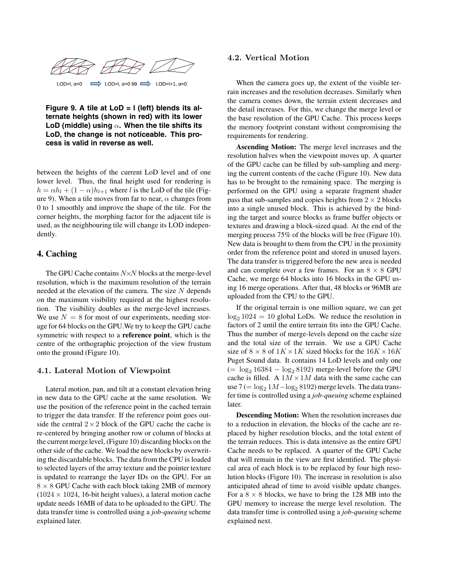

LOD=I,  $\alpha=0$   $\Longrightarrow$  LOD=I,  $\alpha=0.99$   $\Longrightarrow$  LOD=I+1,  $\alpha=0$ 

**Figure 9. A tile at LoD = l (left) blends its alternate heights (shown in red) with its lower LoD (middle) using** α**. When the tile shifts its LoD, the change is not noticeable. This process is valid in reverse as well.**

between the heights of the current LoD level and of one lower level. Thus, the final height used for rendering is  $h = \alpha h_l + (1 - \alpha)h_{l+1}$  where l is the LoD of the tile (Figure 9). When a tile moves from far to near,  $\alpha$  changes from 0 to 1 smoothly and improve the shape of the tile. For the corner heights, the morphing factor for the adjacent tile is used, as the neighbouring tile will change its LOD independently.

### **4. Caching**

The GPU Cache contains  $N \times N$  blocks at the merge-level resolution, which is the maximum resolution of the terrain needed at the elevation of the camera. The size N depends on the maximum visibility required at the highest resolution. The visibility doubles as the merge-level increases. We use  $N = 8$  for most of our experiments, needing storage for 64 blocks on the GPU.We try to keep the GPU cache symmetric with respect to a **reference point**, which is the centre of the orthographic projection of the view frustum onto the ground (Figure 10).

### **4.1. Lateral Motion of Viewpoint**

Lateral motion, pan, and tilt at a constant elevation bring in new data to the GPU cache at the same resolution. We use the position of the reference point in the cached terrain to trigger the data transfer. If the reference point goes outside the central  $2 \times 2$  block of the GPU cache the cache is re-centered by bringing another row or column of blocks at the current merge level, (Figure 10) discarding blocks on the other side of the cache. We load the new blocks by overwriting the discardable blocks. The data from the CPU is loaded to selected layers of the array texture and the pointer texture is updated to rearrange the layer IDs on the GPU. For an  $8 \times 8$  GPU Cache with each block taking 2MB of memory  $(1024 \times 1024, 16$ -bit height values), a lateral motion cache update needs 16MB of data to be uploaded to the GPU. The data transfer time is controlled using a *job-queuing* scheme explained later.

### **4.2. Vertical Motion**

When the camera goes up, the extent of the visible terrain increases and the resolution decreases. Similarly when the camera comes down, the terrain extent decreases and the detail increases. For this, we change the merge level or the base resolution of the GPU Cache. This process keeps the memory footprint constant without compromising the requirements for rendering.

**Ascending Motion:** The merge level increases and the resolution halves when the viewpoint moves up. A quarter of the GPU cache can be filled by sub-sampling and merging the current contents of the cache (Figure 10). New data has to be brought to the remaining space. The merging is performed on the GPU using a separate fragment shader pass that sub-samples and copies heights from  $2 \times 2$  blocks into a single unused block. This is achieved by the binding the target and source blocks as frame buffer objects or textures and drawing a block-sized quad. At the end of the merging process 75% of the blocks will be free (Figure 10). New data is brought to them from the CPU in the proximity order from the reference point and stored in unused layers. The data transfer is triggered before the new area is needed and can complete over a few frames. For an  $8 \times 8$  GPU Cache, we merge 64 blocks into 16 blocks in the GPU using 16 merge operations. After that, 48 blocks or 96MB are uploaded from the CPU to the GPU.

If the original terrain is one million square, we can get  $\log_2 1024 = 10$  global LoDs. We reduce the resolution in factors of 2 until the entire terrain fits into the GPU Cache. Thus the number of merge-levels depend on the cache size and the total size of the terrain. We use a GPU Cache size of  $8 \times 8$  of  $1K \times 1K$  sized blocks for the  $16K \times 16K$ Puget Sound data. It contains 14 LoD levels and only one  $(= \log_2 16384 - \log_2 8192)$  merge-level before the GPU cache is filled. A  $1M \times 1M$  data with the same cache can use 7 (=  $\log_2 1M - \log_2 8192$ ) merge levels. The data transfer time is controlled using a *job-queuing* scheme explained later.

**Descending Motion:** When the resolution increases due to a reduction in elevation, the blocks of the cache are replaced by higher resolution blocks, and the total extent of the terrain reduces. This is data intensive as the entire GPU Cache needs to be replaced. A quarter of the GPU Cache that will remain in the view are first identified. The physical area of each block is to be replaced by four high resolution blocks (Figure 10). The increase in resolution is also anticipated ahead of time to avoid visible update changes. For a  $8 \times 8$  blocks, we have to bring the 128 MB into the GPU memory to increase the merge level resolution. The data transfer time is controlled using a *job-queuing* scheme explained next.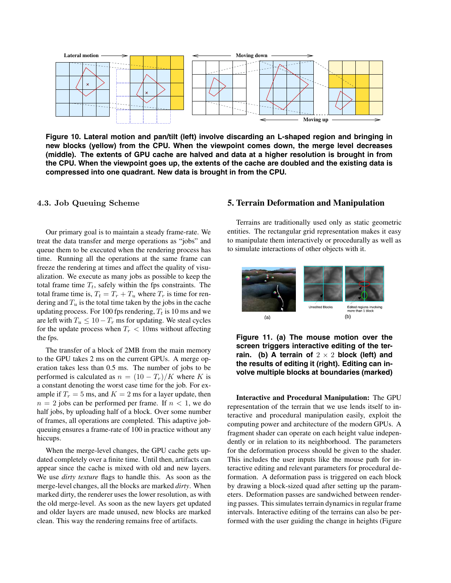

**Figure 10. Lateral motion and pan/tilt (left) involve discarding an L-shaped region and bringing in new blocks (yellow) from the CPU. When the viewpoint comes down, the merge level decreases (middle). The extents of GPU cache are halved and data at a higher resolution is brought in from the CPU. When the viewpoint goes up, the extents of the cache are doubled and the existing data is compressed into one quadrant. New data is brought in from the CPU.**

#### **4.3. Job Queuing Scheme**

Our primary goal is to maintain a steady frame-rate. We treat the data transfer and merge operations as "jobs" and queue them to be executed when the rendering process has time. Running all the operations at the same frame can freeze the rendering at times and affect the quality of visualization. We execute as many jobs as possible to keep the total frame time  $T_t$ , safely within the fps constraints. The total frame time is,  $T_t = T_r + T_u$  where  $T_r$  is time for rendering and  $T_u$  is the total time taken by the jobs in the cache updating process. For 100 fps rendering,  $T_t$  is 10 ms and we are left with  $T_u \leq 10 - T_r$  ms for updating. We steal cycles for the update process when  $T_r < 10$ ms without affecting the fps.

The transfer of a block of 2MB from the main memory to the GPU takes 2 ms on the current GPUs. A merge operation takes less than 0.5 ms. The number of jobs to be performed is calculated as  $n = (10 - T_r)/K$  where K is a constant denoting the worst case time for the job. For example if  $T_r = 5$  ms, and  $K = 2$  ms for a layer update, then  $n = 2$  jobs can be performed per frame. If  $n < 1$ , we do half jobs, by uploading half of a block. Over some number of frames, all operations are completed. This adaptive jobqueuing ensures a frame-rate of 100 in practice without any hiccups.

When the merge-level changes, the GPU cache gets updated completely over a finite time. Until then, artifacts can appear since the cache is mixed with old and new layers. We use *dirty texture* flags to handle this. As soon as the merge-level changes, all the blocks are marked *dirty*. When marked dirty, the renderer uses the lower resolution, as with the old merge-level. As soon as the new layers get updated and older layers are made unused, new blocks are marked clean. This way the rendering remains free of artifacts.

## **5. Terrain Deformation and Manipulation**

Terrains are traditionally used only as static geometric entities. The rectangular grid representation makes it easy to manipulate them interactively or procedurally as well as to simulate interactions of other objects with it.





**Interactive and Procedural Manipulation:** The GPU representation of the terrain that we use lends itself to interactive and procedural manipulation easily, exploit the computing power and architecture of the modern GPUs. A fragment shader can operate on each height value independently or in relation to its neighborhood. The parameters for the deformation process should be given to the shader. This includes the user inputs like the mouse path for interactive editing and relevant parameters for procedural deformation. A deformation pass is triggered on each block by drawing a block-sized quad after setting up the parameters. Deformation passes are sandwiched between rendering passes. This simulates terrain dynamics in regular frame intervals. Interactive editing of the terrains can also be performed with the user guiding the change in heights (Figure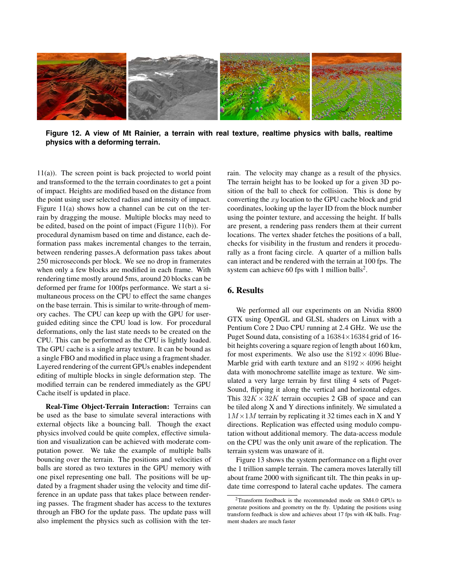

**Figure 12. A view of Mt Rainier, a terrain with real texture, realtime physics with balls, realtime physics with a deforming terrain.**

11(a)). The screen point is back projected to world point and transformed to the the terrain coordinates to get a point of impact. Heights are modified based on the distance from the point using user selected radius and intensity of impact. Figure 11(a) shows how a channel can be cut on the terrain by dragging the mouse. Multiple blocks may need to be edited, based on the point of impact (Figure 11(b)). For procedural dynamism based on time and distance, each deformation pass makes incremental changes to the terrain, between rendering passes.A deformation pass takes about 250 microseconds per block. We see no drop in framerates when only a few blocks are modified in each frame. With rendering time mostly around 5ms, around 20 blocks can be deformed per frame for 100fps performance. We start a simultaneous process on the CPU to effect the same changes on the base terrain. This is similar to write-through of memory caches. The CPU can keep up with the GPU for userguided editing since the CPU load is low. For procedural deformations, only the last state needs to be created on the CPU. This can be performed as the CPU is lightly loaded. The GPU cache is a single array texture. It can be bound as a single FBO and modified in place using a fragment shader. Layered rendering of the current GPUs enables independent editing of multiple blocks in single deformation step. The modified terrain can be rendered immediately as the GPU Cache itself is updated in place.

**Real-Time Object-Terrain Interaction:** Terrains can be used as the base to simulate several interactions with external objects like a bouncing ball. Though the exact physics involved could be quite complex, effective simulation and visualization can be achieved with moderate computation power. We take the example of multiple balls bouncing over the terrain. The positions and velocities of balls are stored as two textures in the GPU memory with one pixel representing one ball. The positions will be updated by a fragment shader using the velocity and time difference in an update pass that takes place between rendering passes. The fragment shader has access to the textures through an FBO for the update pass. The update pass will also implement the physics such as collision with the terrain. The velocity may change as a result of the physics. The terrain height has to be looked up for a given 3D position of the ball to check for collision. This is done by converting the xy location to the GPU cache block and grid coordinates, looking up the layer ID from the block number using the pointer texture, and accessing the height. If balls are present, a rendering pass renders them at their current locations. The vertex shader fetches the positions of a ball, checks for visibility in the frustum and renders it procedurally as a front facing circle. A quarter of a million balls can interact and be rendered with the terrain at 100 fps. The system can achieve 60 fps with 1 million balls<sup>2</sup>.

### **6. Results**

We performed all our experiments on an Nvidia 8800 GTX using OpenGL and GLSL shaders on Linux with a Pentium Core 2 Duo CPU running at 2.4 GHz. We use the Puget Sound data, consisting of a 16384×16384 grid of 16 bit heights covering a square region of length about 160 km, for most experiments. We also use the  $8192 \times 4096$  Blue-Marble grid with earth texture and an  $8192 \times 4096$  height data with monochrome satellite image as texture. We simulated a very large terrain by first tiling 4 sets of Puget-Sound, flipping it along the vertical and horizontal edges. This  $32K \times 32K$  terrain occupies 2 GB of space and can be tiled along X and Y directions infinitely. We simulated a  $1M \times 1M$  terrain by replicating it 32 times each in X and Y directions. Replication was effected using modulo computation without additional memory. The data-access module on the CPU was the only unit aware of the replication. The terrain system was unaware of it.

Figure 13 shows the system performance on a flight over the 1 trillion sample terrain. The camera moves laterally till about frame 2000 with significant tilt. The thin peaks in update time correspond to lateral cache updates. The camera

<sup>2</sup>Transform feedback is the recommended mode on SM4.0 GPUs to generate positions and geometry on the fly. Updating the positions using transform feedback is slow and achieves about 17 fps with 4K balls. Fragment shaders are much faster